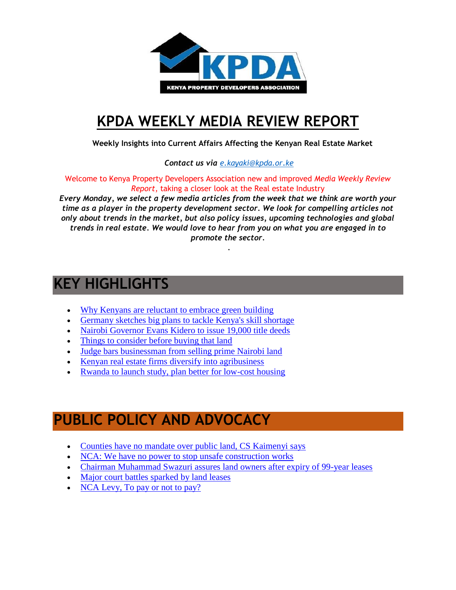

## **[KPDA WEEKLY MEDIA REVIEW REPORT](http://kpda.or.ke/)**

 **Weekly Insights into Current Affairs Affecting the Kenyan Real Estate Market**

 *Contact us via [e.kayaki@kpda.or](mailto:e.kayaki@kpda.or.ke).ke*

Welcome to Kenya Property Developers Association new and improved *Media Weekly Review Report*, taking a closer look at the Real estate Industry

*Every Monday, we select a few media articles from the week that we think are worth your time as a player in the property development sector. We look for compelling articles not only about trends in the market, but also policy issues, upcoming technologies and global trends in real estate. We would love to hear from you on what you are engaged in to promote the sector.*

.

## **KEY HIGHLIGHTS**

- [Why Kenyans are reluctant to embrace green building](http://www.constructionkenya.com/4062/green-building-in-kenya/)
- [Germany sketches big plans to tackle Kenya's skill shortage](http://www.constructionkenya.com/4061/kenya-construction-skills-training/)
- [Nairobi Governor Evans Kidero to issue 19,000 title deeds](http://www.standardmedia.co.ke/article/2000224867/governor-kidero-to-issue-19-000-title-deeds)
- [Things to consider before buying that land](https://bizna.co.ke/things-to-consider-before-buying-that-land/)
- [Judge bars businessman from selling prime Nairobi land](http://www.businessdailyafrica.com/Corporate-News/Judge-bars-businessman-from-selling-prime-Nairobi-land/539550-3469492-b2utdhz/index.html)
- [Kenyan real estate firms diversify into agribusiness](http://www.cnbcafrica.com/video/?ytid=B1kUaXcfFlY)
- [Rwanda to launch study, plan better for low-cost housing](http://www.theeastafrican.co.ke/Rwanda/News/Rwanda-to-launch-study-and-plan-better-for-low-cost-housing--/1433218-3465364-mgti91/index.htm)

## **PUBLIC POLICY AND ADVOCACY**

- [Counties have no mandate over public land, CS Kaimenyi says](http://www.nation.co.ke/news/Counties-have-no-mandate-over-public-land-CS/1056-3469084-5vg3am/index.html)
- [NCA: We have no power to stop unsafe construction works](https://bizna.co.ke/nca-no-power-stop-bad-construction-works/)
- [Chairman Muhammad Swazuri assures land owners after expiry of 99-year leases](http://www.standardmedia.co.ke/article/2000224981/swazuri-assures-land-owners-after-expiry-of-99-year-leases)
- [Major court battles sparked by land leases](http://www.standardmedia.co.ke/article/2000225123/major-court-battles-sparked-by-land-leases)
- [NCA Levy, To pay or not to pay?](file:///C:/Users/KPDA/Documents/Media%20weekly%20Docs/NCA%20LEVY.pdf)